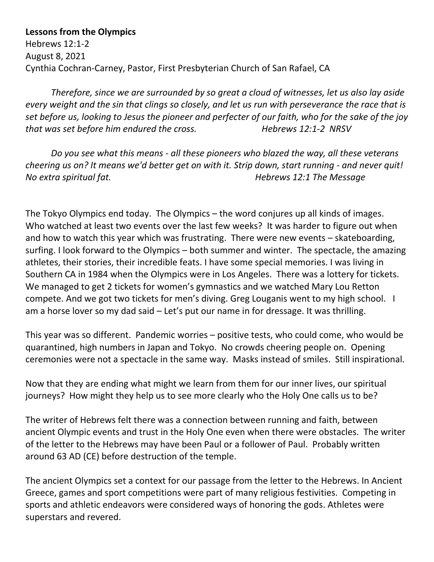## **Lessons from the Olympics**

Hebrews 12:1-2 August 8, 2021 Cynthia Cochran-Carney, Pastor, First Presbyterian Church of San Rafael, CA

*Therefore, since we are surrounded by so great a cloud of witnesses, let us also lay aside every weight and the sin that clings so closely, and let us run with perseverance the race that is set before us, looking to Jesus the pioneer and perfecter of our faith, who for the sake of the joy that was set before him endured the cross. Hebrews 12:1-2 NRSV*

*Do you see what this means - all these pioneers who blazed the way, all these veterans cheering us on? It means we'd better get on with it. Strip down, start running - and never quit! No extra spiritual fat. Hebrews 12:1 The Message*

The Tokyo Olympics end today. The Olympics – the word conjures up all kinds of images. Who watched at least two events over the last few weeks? It was harder to figure out when and how to watch this year which was frustrating. There were new events – skateboarding, surfing. I look forward to the Olympics – both summer and winter. The spectacle, the amazing athletes, their stories, their incredible feats. I have some special memories. I was living in Southern CA in 1984 when the Olympics were in Los Angeles. There was a lottery for tickets. We managed to get 2 tickets for women's gymnastics and we watched Mary Lou Retton compete. And we got two tickets for men's diving. Greg Louganis went to my high school. I am a horse lover so my dad said – Let's put our name in for dressage. It was thrilling.

This year was so different. Pandemic worries – positive tests, who could come, who would be quarantined, high numbers in Japan and Tokyo. No crowds cheering people on. Opening ceremonies were not a spectacle in the same way. Masks instead of smiles. Still inspirational.

Now that they are ending what might we learn from them for our inner lives, our spiritual journeys? How might they help us to see more clearly who the Holy One calls us to be?

The writer of Hebrews felt there was a connection between running and faith, between ancient Olympic events and trust in the Holy One even when there were obstacles. The writer of the letter to the Hebrews may have been Paul or a follower of Paul. Probably written around 63 AD (CE) before destruction of the temple.

The ancient Olympics set a context for our passage from the letter to the Hebrews. In Ancient Greece, games and sport competitions were part of many religious festivities. Competing in sports and athletic endeavors were considered ways of honoring the gods. Athletes were superstars and revered.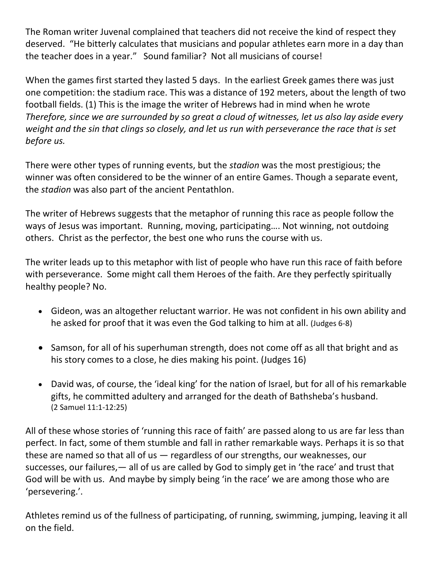The Roman writer Juvenal complained that teachers did not receive the kind of respect they deserved. "He bitterly calculates that musicians and popular athletes earn more in a day than the teacher does in a year." Sound familiar? Not all musicians of course!

When the games first started they lasted 5 days. In the earliest Greek games there was just one competition: the stadium race. This was a distance of 192 meters, about the length of two football fields. (1) This is the image the writer of Hebrews had in mind when he wrote *Therefore, since we are surrounded by so great a cloud of witnesses, let us also lay aside every weight and the sin that clings so closely, and let us run with perseverance the race that is set before us.*

There were other types of running events, but the *stadion* was the most prestigious; the winner was often considered to be the winner of an entire Games. Though a separate event, the *stadion* was also part of the ancient Pentathlon.

The writer of Hebrews suggests that the metaphor of running this race as people follow the ways of Jesus was important. Running, moving, participating…. Not winning, not outdoing others. Christ as the perfector, the best one who runs the course with us.

The writer leads up to this metaphor with list of people who have run this race of faith before with perseverance. Some might call them Heroes of the faith. Are they perfectly spiritually healthy people? No.

- Gideon, was an altogether reluctant warrior. He was not confident in his own ability and he asked for proof that it was even the God talking to him at all. (Judges 6-8)
- Samson, for all of his superhuman strength, does not come off as all that bright and as his story comes to a close, he dies making his point. (Judges 16)
- David was, of course, the 'ideal king' for the nation of Israel, but for all of his remarkable gifts, he committed adultery and arranged for the death of Bathsheba's husband. (2 Samuel 11:1-12:25)

All of these whose stories of 'running this race of faith' are passed along to us are far less than perfect. In fact, some of them stumble and fall in rather remarkable ways. Perhaps it is so that these are named so that all of us — regardless of our strengths, our weaknesses, our successes, our failures,  $-$  all of us are called by God to simply get in 'the race' and trust that God will be with us. And maybe by simply being 'in the race' we are among those who are 'persevering.'.

Athletes remind us of the fullness of participating, of running, swimming, jumping, leaving it all on the field.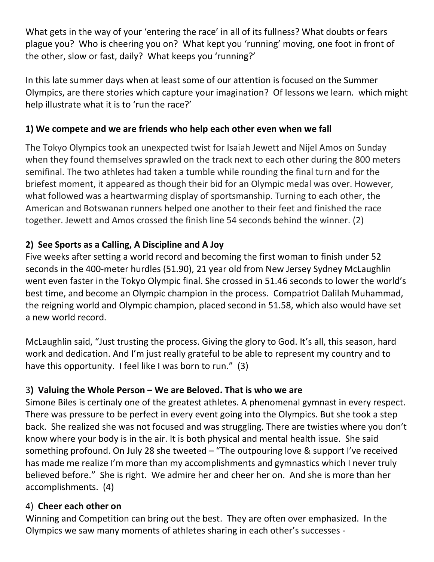What gets in the way of your 'entering the race' in all of its fullness? What doubts or fears plague you? Who is cheering you on? What kept you 'running' moving, one foot in front of the other, slow or fast, daily? What keeps you 'running?'

In this late summer days when at least some of our attention is focused on the Summer Olympics, are there stories which capture your imagination? Of lessons we learn. which might help illustrate what it is to 'run the race?'

# **1) We compete and we are friends who help each other even when we fall**

The Tokyo Olympics took an unexpected twist for Isaiah Jewett and Nijel Amos on Sunday when they found themselves sprawled on the track next to each other during the 800 meters semifinal. The two athletes had taken a tumble while rounding the final turn and for the briefest moment, it appeared as though their bid for an Olympic medal was over. However, what followed was a heartwarming display of sportsmanship. Turning to each other, the American and Botswanan runners helped one another to their feet and finished the race together. Jewett and Amos crossed the finish line 54 seconds behind the winner. (2)

# **2) See Sports as a Calling, A Discipline and A Joy**

Five weeks after setting a world record and becoming the first woman to finish under 52 seconds in the 400-meter hurdles (51.90), 21 year old from New Jersey Sydney McLaughlin went even faster in the Tokyo Olympic final. She crossed in 51.46 seconds to lower the world's best time, and become an Olympic champion in the process. Compatriot Dalilah Muhammad, the reigning world and Olympic champion, placed second in 51.58, which also would have set a new world record.

McLaughlin said, "Just trusting the process. Giving the glory to God. It's all, this season, hard work and dedication. And I'm just really grateful to be able to represent my country and to have this opportunity. I feel like I was born to run." (3)

# 3**) Valuing the Whole Person – We are Beloved. That is who we are**

Simone Biles is certinaly one of the greatest athletes. A phenomenal gymnast in every respect. There was pressure to be perfect in every event going into the Olympics. But she took a step back. She realized she was not focused and was struggling. There are twisties where you don't know where your body is in the air. It is both physical and mental health issue. She said something profound. On July 28 she tweeted – "The outpouring love & support I've received has made me realize I'm more than my accomplishments and gymnastics which I never truly believed before." She is right. We admire her and cheer her on. And she is more than her accomplishments. (4)

# 4) **Cheer each other on**

Winning and Competition can bring out the best. They are often over emphasized. In the Olympics we saw many moments of athletes sharing in each other's successes -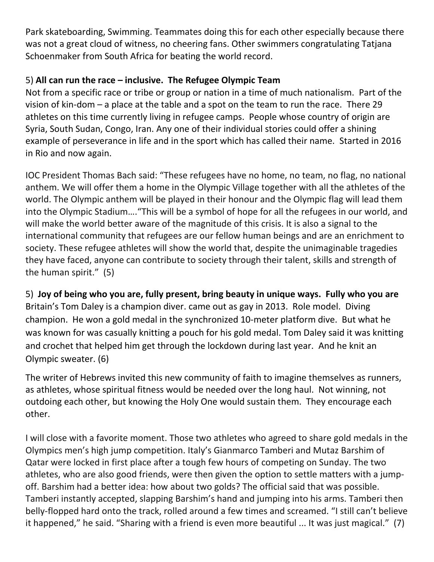Park skateboarding, Swimming. Teammates doing this for each other especially because there was not a great cloud of witness, no cheering fans. Other swimmers congratulating Tatjana Schoenmaker from South Africa for beating the world record.

# 5) **All can run the race – inclusive. The Refugee Olympic Team**

Not from a specific race or tribe or group or nation in a time of much nationalism. Part of the vision of kin-dom – a place at the table and a spot on the team to run the race. There 29 athletes on this time currently living in refugee camps. People whose country of origin are Syria, South Sudan, Congo, Iran. Any one of their individual stories could offer a shining example of perseverance in life and in the sport which has called their name. Started in 2016 in Rio and now again.

IOC President Thomas Bach said: "These refugees have no home, no team, no flag, no national anthem. We will offer them a home in the Olympic Village together with all the athletes of the world. The Olympic anthem will be played in their honour and the Olympic flag will lead them into the Olympic Stadium…."This will be a symbol of hope for all the refugees in our world, and will make the world better aware of the magnitude of this crisis. It is also a signal to the international community that refugees are our fellow human beings and are an enrichment to society. These refugee athletes will show the world that, despite the unimaginable tragedies they have faced, anyone can contribute to society through their talent, skills and strength of the human spirit." (5)

5) **Joy of being who you are, fully present, bring beauty in unique ways. Fully who you are** Britain's Tom Daley is a champion diver. came out as gay in 2013. Role model. Diving champion. He won a gold medal in the synchronized 10-meter platform dive. But what he was known for was casually knitting a pouch for his gold medal. Tom Daley said it was knitting and crochet that helped him get through the lockdown during last year. And he knit an Olympic sweater. (6)

The writer of Hebrews invited this new community of faith to imagine themselves as runners, as athletes, whose spiritual fitness would be needed over the long haul. Not winning, not outdoing each other, but knowing the Holy One would sustain them. They encourage each other.

I will close with a favorite moment. Those two athletes who agreed to share gold medals in the Olympics men's high jump competition. Italy's Gianmarco Tamberi and Mutaz Barshim of Qatar were locked in first place after a tough few hours of competing on Sunday. The two athletes, who are also good friends, were then given the option to settle matters with a jumpoff. Barshim had a better idea: how about two golds? The official said that was possible. Tamberi instantly accepted, slapping Barshim's hand and jumping into his arms. Tamberi then belly-flopped hard onto the track, rolled around a few times and screamed. "I still can't believe it happened," he said. "Sharing with a friend is even more beautiful ... It was just magical." (7)